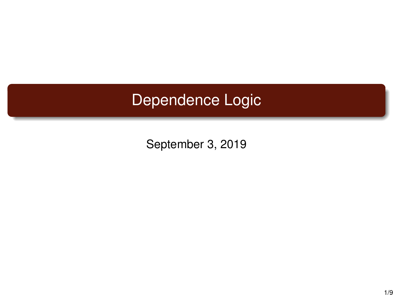# Dependence Logic

September 3, 2019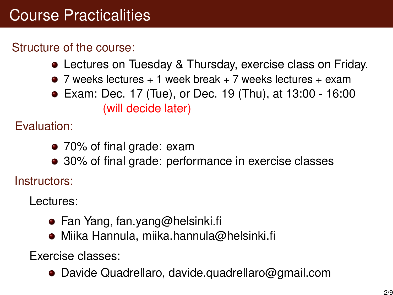# Course Practicalities

### Structure of the course:

- Lectures on Tuesday & Thursday, exercise class on Friday.
- $\bullet$  7 weeks lectures  $+1$  week break  $+7$  weeks lectures  $+$  exam
- Exam: Dec. 17 (Tue), or Dec. 19 (Thu), at 13:00 16:00 (will decide later)

Evaluation:

- 70% of final grade: exam
- 30% of final grade: performance in exercise classes

Instructors:

Lectures:

- Fan Yang, fan.yang@helsinki.fi
- Miika Hannula, miika.hannula@helsinki.fi

Exercise classes:

Davide Quadrellaro, davide.quadrellaro@gmail.com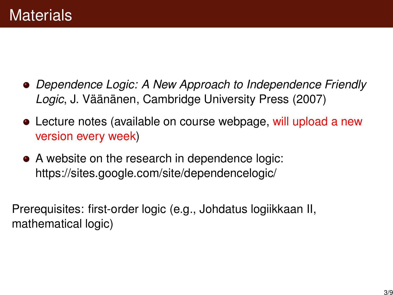- *Dependence Logic: A New Approach to Independence Friendly Logic*, J. Väänänen, Cambridge University Press (2007)
- Lecture notes (available on course webpage, will upload a new version every week)
- A website on the research in dependence logic: https://sites.google.com/site/dependencelogic/

Prerequisites: first-order logic (e.g., Johdatus logiikkaan II, mathematical logic)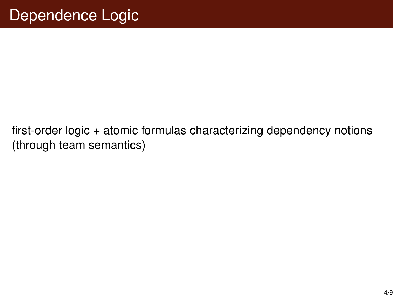first-order logic + atomic formulas characterizing dependency notions (through team semantics)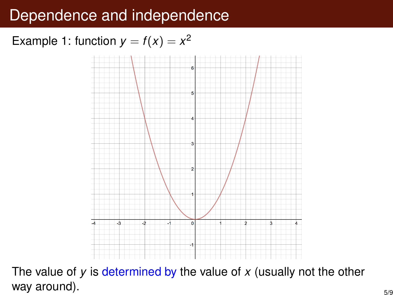## Dependence and independence

### Example 1: function  $y = f(x) = x^2$



The value of  $y$  is determined by the value of  $x$  (usually not the other way around).  $\frac{5}{9}$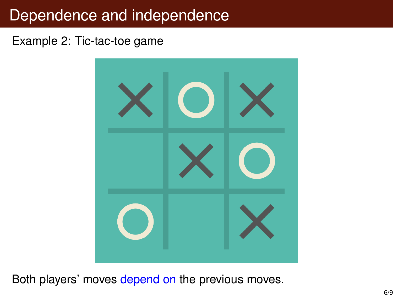## Dependence and independence

#### Example 2: Tic-tac-toe game



Both players' moves depend on the previous moves.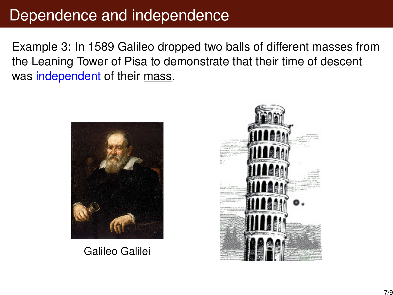## Dependence and independence

Example 3: In 1589 Galileo dropped two balls of different masses from the Leaning Tower of Pisa to demonstrate that their time of descent was independent of their mass.



Galileo Galilei

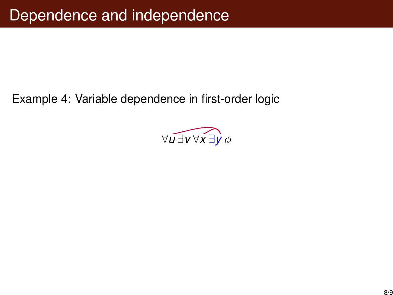Example 4: Variable dependence in first-order logic

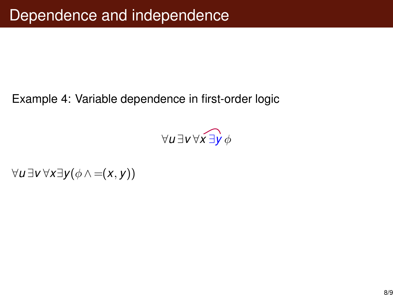#### Example 4: Variable dependence in first-order logic

$$
\forall u\, \exists v\, \forall x\, \overrightarrow{\exists y}\, \phi
$$

∀*u* ∃*v* ∀*x*∃*y*(φ ∧ =(*x*, *y*))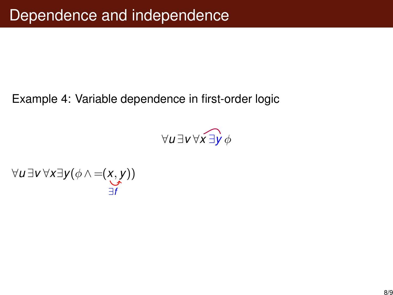#### Example 4: Variable dependence in first-order logic

$$
\forall u\, \exists v\, \forall x\, \exists y\, \phi
$$

∀*u* ∃*v* ∀*x*∃*y*(φ ∧ =(*x*, *y*)) ∃*f*